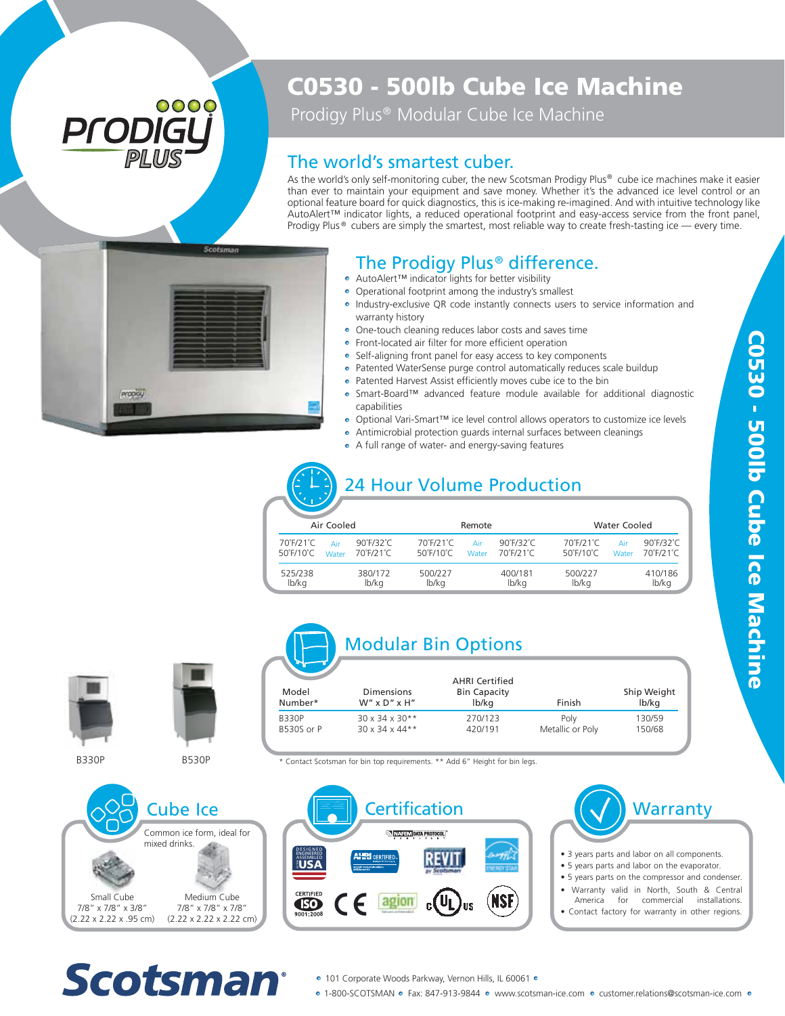# 0000 Prodi

## C0530 - 500lb Cube Ice Machine

Prodigy Plus<sup>®</sup> Modular Cube Ice Machine

#### The world's smartest cuber.

As the world's only self-monitoring cuber, the new Scotsman Prodigy Plus® cube ice machines make it easier than ever to maintain your equipment and save money. Whether it's the advanced ice level control or an optional feature board for quick diagnostics, this is ice-making re-imagined. And with intuitive technology like AutoAlert™ indicator lights, a reduced operational footprint and easy-access service from the front panel, Prodigy Plus  $\circ$  cubers are simply the smartest, most reliable way to create fresh-tasting ice — every time.



#### The Prodigy Plus<sup>®</sup> difference.

- AutoAlert™ indicator lights for better visibility
- Operational footprint among the industry's smallest • Industry-exclusive QR code instantly connects users to service information and warranty history The **Prodigy Plus<sup>®</sup> differe**<br>AutoAlert<sup>TM</sup> indicator lights for better visibility<br>Operational footprint among the industry's smalle<br>Industry-exclusive QR code instantly connects us<br>warranty history<br>One-touch cleaning redu
- One-touch cleaning reduces labor costs and saves time
- **•** Front-located air filter for more efficient operation
- Self-aligning front panel for easy access to key components
- Patented WaterSense purge control automatically reduces scale buildup
- Patented Harvest Assist efficiently moves cube ice to the bin
- Smart-Board™ advanced feature module available for additional diagnostic capabilities
- Optional Vari-Smart™ ice level control allows operators to customize ice levels
- Antimicrobial protection guards internal surfaces between cleanings<br>• A full range of water- and energy-saving features
- 

### 24 Hour Volume Production

| Air Cooled                                  |              |                                         |                                             | Remote       |                                         |                                                             | <b>Water Cooled</b>                     |  |  |
|---------------------------------------------|--------------|-----------------------------------------|---------------------------------------------|--------------|-----------------------------------------|-------------------------------------------------------------|-----------------------------------------|--|--|
| 70°F/21°C<br>$50^{\circ}$ F/10 $^{\circ}$ C | Air<br>Water | $90^\circ$ F/32 $^\circ$ C<br>70°F/21°C | 70°F/21°C<br>$50^{\circ}$ F/10 $^{\circ}$ C | Air<br>Water | $90^\circ$ F/32 $^\circ$ C<br>70°F/21°C | 70°F/21°C<br>Air<br>$50^{\circ}$ F/10 $^{\circ}$ C<br>Water | $90^\circ$ F/32 $^\circ$ C<br>70°F/21°C |  |  |
| 525/238<br>lb/kg                            |              | 380/172<br>lb/kg                        | 500/227<br>lb/kg                            |              | 400/181<br>lb/kg                        | 500/227<br>lb/kg                                            | 410/186<br>lb/kg                        |  |  |



B330P



B530P

Modular Bin Options

| Model<br>Number* | <b>Dimensions</b><br>$W''$ x D" x H" | <b>AHRI Certified</b><br><b>Bin Capacity</b><br>lb/kg | Finish           | Ship Weight<br>lb/kg |
|------------------|--------------------------------------|-------------------------------------------------------|------------------|----------------------|
| B330P            | $30 \times 34 \times 30**$           | 270/123                                               | Poly             | 130/59               |
| B530S or P       | $30 \times 34 \times 44**$           | 420/191                                               | Metallic or Poly | 150/68               |

\* Contact Scotsman for bin top requirements. \*\* Add 6" Height for bin legs.







- 3 years parts and labor on all components.
- 5 years parts and labor on the evaporator.
- 5 years parts on the compressor and condenser.
- Warranty valid in North, South & Central
- for commercial installations.
- Contact factory for warranty in other regions.



- 101 Corporate Woods Parkway, Vernon Hills, IL 60061 •
- 1-800-SCOTSMAN Fax: 847-913-9844 www.scotsman-ice.com customer.relations@scotsman-ice.com •

C0530 - 500lb Cube Ice Machine C0530 - 500lb Cube Ice Machine